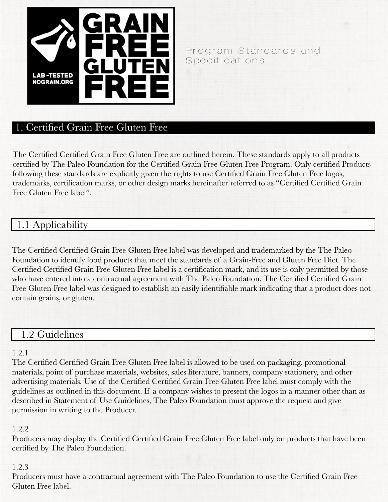

### Program Standards and Specifications

## 1. Certified Grain Free Gluten Free

The Certified Certified Grain Free Gluten Free are outlined herein. These standards apply to all products certified by The Paleo Foundation for the Certified Grain Free Gluten Free Program. Only certified Products following these standards are explicitly given the rights to use Certified Grain Free Gluten Free logos, trademarks, certification marks, or other design marks hereinafter referred to as "Certified Certified Grain Free Gluten Free label".

# 1.1 Applicability

The Certified Certified Grain Free Gluten Free label was developed and trademarked by the The Paleo Foundation to identify food products that meet the standards of a Grain-Free and Gluten Free Diet. The Certified Certified Grain Free Gluten Free label is a certification mark, and its use is only permitted by those who have entered into a contractual agreement with The Paleo Foundation. The Certified Certified Grain Free Gluten Free label was designed to establish an easily identifiable mark indicating that a product does not contain grains, or gluten.

## 1.2 Guidelines

#### 1.2.1

The Certified Certified Grain Free Gluten Free label is allowed to be used on packaging, promotional materials, point of purchase materials, websites, sales literature, banners, company stationery, and other advertising materials. Use of the Certified Certified Grain Free Gluten Free label must comply with the guidelines as outlined in this document. If a company wishes to present the logos in a manner other than as described in Statement of Use Guidelines, The Paleo Foundation must approve the request and give permission in writing to the Producer.

#### 1.2.2

Producers may display the Certified Certified Grain Free Gluten Free label only on products that have been certified by The Paleo Foundation.

#### 1.2.3

Producers must have a contractual agreement with The Paleo Foundation to use the Certified Grain Free Gluten Free label.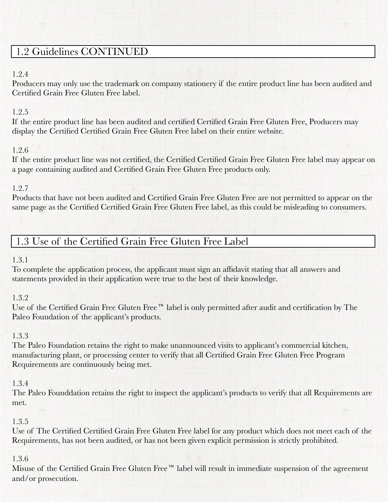# 1.2 Guidelines CONTINUED

### 1.2.4

Producers may only use the trademark on company stationery if the entire product line has been audited and Certified Grain Free Gluten Free label.

### 1.2.5

If the entire product line has been audited and certified Certified Grain Free Gluten Free, Producers may display the Certified Certified Grain Free Gluten Free label on their entire website.

### 1.2.6

If the entire product line was not certified, the Certified Certified Grain Free Gluten Free label may appear on a page containing audited and Certified Grain Free Gluten Free products only.

### 1.2.7

Products that have not been audited and Certified Grain Free Gluten Free are not permitted to appear on the same page as the Certified Certified Grain Free Gluten Free label, as this could be misleading to consumers.

# 1.3 Use of the Certified Grain Free Gluten Free Label

## 1.3.1

To complete the application process, the applicant must sign an affidavit stating that all answers and statements provided in their application were true to the best of their knowledge.

## 1.3.2

Use of the Certified Grain Free Gluten Free™ label is only permitted after audit and certification by The Paleo Foundation of the applicant's products.

## 1.3.3

The Paleo Foundation retains the right to make unannounced visits to applicant's commercial kitchen, manufacturing plant, or processing center to verify that all Certified Grain Free Gluten Free Program Requirements are continuously being met.

### 1.3.4

The Paleo Founddation retains the right to inspect the applicant's products to verify that all Requirements are met.

## 1.3.5

Use of The Certified Certified Grain Free Gluten Free label for any product which does not meet each of the Requirements, has not been audited, or has not been given explicit permission is strictly prohibited.

## 1.3.6

Misuse of the Certified Grain Free Gluten Free™ label will result in immediate suspension of the agreement and/or prosecution.